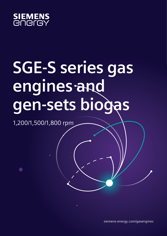

# **SGE-S series gas engines and gen-sets biogas**

1,200/1,500/1,800 rpm

siemens-energy.com/gasengines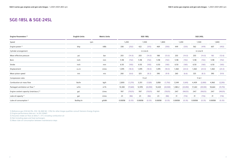### **SGE-18SL & SGE-24SL**

| Engine Parameters <sup>2)</sup>                   | <b>English Units</b> | <b>Metric Units</b> |         |          |         | SGE-18SL  |         |          |         |           |         | SGE-24SL  |         |          |
|---------------------------------------------------|----------------------|---------------------|---------|----------|---------|-----------|---------|----------|---------|-----------|---------|-----------|---------|----------|
| Speed                                             | rpm                  |                     |         | 1,200    |         | 1,500     |         | 1,800    |         | 1,200     |         | 1,500     | 1,800   |          |
| Engine power <sup>2)</sup>                        | bhp                  | kWb                 | 338     | (252)    | 422     | (315)     | 469     | (350)    | 449     | (335)     | 562     | (419)     | 607     | (453)    |
| Cylinder arrangement                              |                      |                     |         |          |         | in Line 6 |         |          |         |           |         | in Line 8 |         |          |
| Mean effective pressure                           | psi                  | bar                 | 203     | (14.0)   | 203     | (14.0)    | 188     | (13.0)   | 203     | (14.0)    | 203     | (14.0)    | 183     | (12.6)   |
| Bore                                              | inch                 | mm                  | 5.98    | (152)    | 5.98    | (152)     | 5.98    | (152)    | 5.98    | (152)     | 5.98    | (152)     | 5.98    | (152)    |
| Stroke                                            | inch                 | mm                  | 6.50    | (165)    | 6.50    | (165)     | 6.50    | (165)    | 6.50    | (165)     | 6.50    | (165)     | 6.50    | (165)    |
| Displacement                                      | cu.in                | Litres              | 1,095   | (18.0)   | 1,095   | (18.0)    | 1,095   | (18.0)   | 1,460   | (24.0)    | 1,460   | (24.0)    | 1,460   | (24.0)   |
| Mean piston speed                                 | in/s                 | m/s                 | 260     | (6.6)    | 325     | (8.3)     | 390     | (9.9)    | 260     | (6.6)     | 325     | (8.3)     | 390     | (9.9)    |
| Compression ratio                                 |                      |                     |         |          |         | 11.6:1    |         |          |         |           |         | 11.6:1    |         |          |
| Combustion air mass flow                          | lbs/hr               | kg/h                | 2,800   | (1,270)  | 3,351   | (1,520)   | 3,858   | (1,750)  | 3,549   | (1,610)   | 4,409   | (2,000)   | 4,960   | (2,250)  |
| Packaged ventilation air flow <sup>2)</sup>       | scfm                 | $m^3/h$             | 10,383  | (17,640) | 12,978  | (22,050)  | 14,420  | (24,500) | 1,380.2 | (23, 450) | 17,263  | (29, 330) | 18,664  | (31,710) |
| Engine coolant capacity (main/aux.) <sup>3)</sup> | gal.                 | Litres              | 19/7    | (70/25)  | 19/7    | (70/25)   | 19/7    | (70/25)  | 24/7    | (90/25)   | 24/7    | (90/25)   | 24/7    | (90/25)  |
| Lube oil capacity <sup>3)</sup>                   | gal.                 | Litres              | 23      | (86)     | 23      | (86)      | 23      | (86)     | 31      | (116)     | 31      | (116)     | 31      | (116)    |
| Lube oil consumption <sup>4)</sup>                | lbs/bhp.hr           | g/kWh               | 0.00058 | (0.35)   | 0.00058 | (0.35)    | 0.00058 | (0.35)   | 0.00058 | (0.35)    | 0.00058 | (0.35)    | 0.00058 | (0.35)   |

1) Reference gas (CH4 62,5%, CO2: 36 AND N2: 1,5%) for other biogas qualities consult Siemens Energy Engines

2) Engine performance data acc. to ISO 3046/1

3) Assumes intake air flow at delta  $T = 5^{\circ}$ C including combustion air

4) Not Including pipes and heat exchangers

5) Mean lube oil consumption between maintenance steps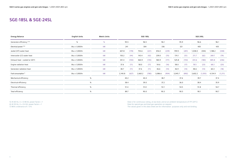### **SGE-18SL & SGE-24SL**

| <b>Energy Balance</b>                 | <b>English Units</b> | <b>Metric Units</b> | SGE-18SL |       |         |       |         |       |         |       |         | SGE-24SL |         |         |
|---------------------------------------|----------------------|---------------------|----------|-------|---------|-------|---------|-------|---------|-------|---------|----------|---------|---------|
| Generator efficiency <sup>5) 6)</sup> | $\%$                 | $\frac{0}{0}$       | 95.5     |       |         | 96.5  | 96.1    |       | 95.9    |       |         | 96.6     | 96.1    |         |
| Electrical power <sup>5) 6)</sup>     | Btu x 1,000/hr       | kW                  | 241      |       |         | 304   | 336     |       | 321     |       |         | 405      | 435     |         |
| Jacket (HT) water heat                | Btu x 1,000/hr       | kW                  | 607.8    | (178) | 754.6   | (221) | 816.0   | (239) | 959.5   | (281) | 1,038.0 | (304)    | 1,188.2 | (348)   |
| Intercooler (LT) water heat           | Btu x 1,000/hr       | kW                  | 150.2    | (44)  | 143.4   | (42)  | 239.0   | (70)  | 174.1   | (51)  | 211.7   | (62)     | 269.7   | (79)    |
| Exhaust heat - cooled to 120°C        | Btu x 1,000/hr       | kW                  | 341.4    | (100) | 460.9   | (135) | 583.9   | (171) | 525.8   | (154) | 614.6   | (180)    | 805.8   | (236)   |
| Engine radiation heat                 | Btu x 1,000/hr       | kW                  | 37.6     | (11)  | 58.0    | (17)  | 54.6    | (16)  | 58.0    | (17)  | 78.5    | (23)     | 68.3    | (20)    |
| Generator radiation heat              | Btu x 1,000/hr       | kW                  | 38.7     | (11)  | 37.6    | (11)  | 46.6    | (14)  | 46.9    | (14)  | 48.6    | (14)     | 60.3    | (18)    |
| Fuel consumption <sup>7)</sup>        | Btu x 1,000/hr       | kW                  | 2,140.8  | (627) | 2,663.2 | (780) | 3,086.6 | (904) | 3,045.7 | (892) | 3,602.2 | (1,055)  | 4,134.9 | (1,211) |
| Mechanical efficiency                 | $\%$                 |                     | 40.2     |       |         | 40.4  | 38.7    |       |         | 37.6  | 39.7    |          | 37.4    |         |
| Electrical efficiency                 | $\%$                 |                     | 38.4     |       |         | 39.0  | 37.2    |       | 36.0    |       |         | 38.4     | 35.9    |         |
| Thermal efficiency                    | $\%$                 |                     | 51.4     |       |         | 51.0  | 53.1    |       |         | 54.5  |         | 51.8     | 54.7    |         |
| Total efficiency                      | $\%$                 |                     | 89.7     |       |         | 90.0  | 90.3    |       | 90.5    |       | 90.1    |          | 90.7    |         |

5) At 60 Hz,  $U = 0.48$  kV, power factor  $= 1$ 6) At 50 Hz,  $U = 0.4$  kV, power factor = 1 7) With a tolerance of  $+ 5 \%$ 

Data is for continuous rating, at sea level, and at an ambient temperature of 77F (25ºC) Data for special gas and dual gas operation on request. The values given in this data sheet are for information purposes only and not binding.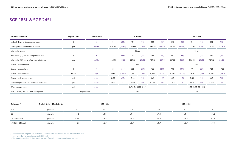| <b>System Parameters</b>                      | <b>English Units</b> | <b>Metric Units</b> | SGE-18SL                |         |         |         |         |         |         |         |         | SGE-24SL                |         |         |
|-----------------------------------------------|----------------------|---------------------|-------------------------|---------|---------|---------|---------|---------|---------|---------|---------|-------------------------|---------|---------|
| Jacket (HT) water temperature max.            | $^{\circ}$ F         | $^{\circ}$ C        | 194                     | (90)    | 194     | (90)    | 194     | (90)    | 194     | (90)    | 194     | (90)                    | 194     | (90)    |
| Jacket (HT) water flow rate min/max.          | gpm                  | m3/hr               | 110/264                 | (25/60) | 136/264 | (31/60) | 145/264 | (33/60) | 172/264 | (39/60) | 185/264 | (42/60)                 | 211/264 | (48/60) |
| Intercooler stages                            |                      |                     |                         |         |         | Single  |         |         |         |         |         | Single                  |         |         |
| Intercooler (LT) coolant temperature max.     |                      | $^{\circ}$ C        | 131                     | (55)    | 131     | (55)    | 131     | (55)    | 131     | (55)    | 131     | (55)                    | 131     | (55)    |
| Intercooler (LT) coolant flow rate min./max.  | gpm                  | m3/hr               | 66/132                  | 15/30   | 88/132  | 20/30   | 110/132 | 25/30   | 66/132  | 15/30   | 88/132  | 20/30                   | 110/132 | 25/30   |
| Exhaust manifold type                         |                      |                     | Wet                     |         |         |         |         |         |         |         |         | Wet                     |         |         |
| Exhaust temperature                           | $\circ$              | $^{\circ}$ C        | 655                     | (346)   | 705     | (374)   | 750     | (399)   | 738     | (392)   | 711     | (377)                   | 784     | (418)   |
| Exhaust mass flow wet                         | Ibs/hr               | kg/h                | 3,064                   | (1,390) | 3,660   | (1,660) | 4,233   | (1,920) | 3,902   | (1,770) | 4,828   | (2, 190)                | 5,467   | (2,480) |
| Exhaust back-pressure max.                    | psi                  | mbar                | 0.65                    | (45)    | 0.65    | (45)    | 0.65    | (45)    | 0.65    | (45)    | 0.65    | (45)                    | 0.65    | (45)    |
| Maximum pressure loss in front of air cleaner | psi                  | mbar                | 0.073                   | (5)     | 0.073   | (5)     | 0.073   | (5)     | 0.073   | (5)     | 0.073   | (5)                     | 0.073   | (5)     |
| EFuel pressure range                          | psi                  | mbar                | $0.73 - 3.48(50 - 240)$ |         |         |         |         |         |         |         |         | $0.73 - 3.48(50 - 240)$ |         |         |
| Starter battery 2x12 V, capacity required     | Ampere-hour          |                     | 280                     |         |         |         |         |         |         |         |         | 280                     |         |         |

| Emissions <sup>8)</sup> | English Units Metric Units |       | SGE-18SL |          |       | SGE-24HM |          |
|-------------------------|----------------------------|-------|----------|----------|-------|----------|----------|
| <b>NO<sub>x</sub></b>   | g/bhp.hr                   |       | < 1.1    | $\leq$ 1 |       | < 1.1    | $\leq$ 1 |
| CO                      | g/bhp.hr                   | < 1.8 | < 1.8    | <1.8     | < 1.8 | < 1.8    | < 1.8    |
| THC (in C1base)         | g/bhp.hr                   | < 3.5 | < 3.5    | $<$ 3.5  | < 3.5 | < 3.5    | $<$ 3.5  |
| NMHC (in C1 base)       | g/bhp.hr                   | < 0.7 | < 0.7    | < 0.7    | < 0.7 | < 0.7    | < 0.7    |

# **SGE-18SL & SGE-24SL**

8) Lower emission engines are available; contact a sales representative for performance data

- Engine performance data acc. to ISO 3046/1

- The values given in this data sheet are for information purposes only and not binding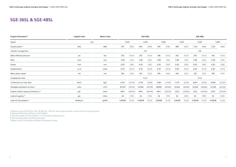## **SGE-36SL & SGE-48SL**

| Engine Parameters <sup>2)</sup>                   | <b>English Units</b> | <b>Metric Units</b> | SGE-36SL |          |         |          |         |          |         |          |         | SGE-48SL |         |           |
|---------------------------------------------------|----------------------|---------------------|----------|----------|---------|----------|---------|----------|---------|----------|---------|----------|---------|-----------|
| Speed                                             | rpm                  |                     |          | 1,200    |         | 1,500    |         | 1,800    |         | 1,200    |         | 1,500    |         | 1,800     |
| Engine power <sup>2)</sup>                        | bhp                  | kWb                 | 675      | (503)    | 845     | (630)    | 939     | (700)    | 898     | (670)    | 1,124   | (838)    | 1,215   | (906)     |
| Cylinder arrangement                              |                      |                     |          |          |         | V12      |         |          |         |          |         | V16      |         |           |
| Mean effective pressure                           | psi                  | bar                 | 203      | (14.0)   | 203     | (14.0)   | 188     | (13.0)   | 203     | (14.0)   | 203     | (14.0)   | 183     | (12.6)    |
| Bore                                              | inch                 | mm                  | 5.98     | (152)    | 5.98    | (152)    | 5.98    | (152)    | 5.98    | (152)    | 5.98    | (152)    | 5.98    | (152)     |
| Stroke                                            | inch                 | mm                  | 6.50     | (165)    | 6.50    | (165)    | 6.50    | (165)    | 6.50    | (165)    | 6.50    | (165)    | 6.50    | (165)     |
| Displacement                                      | cu.in                | Litres              | 2,191    | (35.9)   | 2,191   | (35.9)   | 2,191   | (35.9)   | 2,921   | (47.9)   | 2,921   | (47.9)   | 2,921   | (47.9)    |
| Mean piston speed                                 | in/s                 | m/s                 | 260      | (6.6)    | 325     | (8.3)    | 390     | (9.9)    | 260     | (6.6)    | 325     | (8.3)    | 390     | (9.9)     |
| Compression ratio                                 |                      |                     |          |          |         | 11.6:1   |         |          |         |          |         | 11.6:1   |         |           |
| Combustion air mass flow                          | lbs/hr               | kg/h                | 5,401    | (2,450)  | 6,745   | (3,060)  | 7,584   | (3,440)  | 7,319   | (3,320)  | 8,841   | (4,010)  | 9,480   | (4,300)   |
| Packaged ventilation air flow <sup>2)</sup>       | scfm                 | $m^3/h$             | 20,724   | (35,210) | 25,956  | (44,100) | 28,840  | (49,000) | 27,604  | (46,900) | 34,526  | (58,660) | 37,328  | (63, 420) |
| Engine coolant capacity (main/aux.) <sup>3)</sup> | gal.                 | Litres              | 48/11    | (180/40) | 48/11   | (180/40) | 48/11   | (200/50) | 53/13   | (200/50) | 53/13   | (200/50) | 53/13   | (200/50)  |
| Lube oil capacity <sup>3)</sup>                   | gal.                 | Litres              | 46       | (174)    | 46      | (174)    | 46      | (174)    | 62      | (233)    | 62      | (195)    | 62      | (233)     |
| Lube oil consumption <sup>4)</sup>                | lbs/bhp.hr           | g/kWh               | 0.00058  | (0.35)   | 0.00058 | (0.35)   | 0.00058 | (0.35)   | 0.00058 | (0.35)   | 0.00058 | (0.35)   | 0.00058 | (0.35)    |

1) Reference gas (CH4 62,5%, CO2: 36 AND N2: 1,5%) for other biogas qualities consult Siemens Energy Engines

2) Engine performance data acc. to ISO 3046/1

3) Assumes intake air flow at delta  $T = 5^{\circ}$ C including combustion air

4) Not Including pipes and heat exchangers

5) Mean lube oil consumption between maintenance steps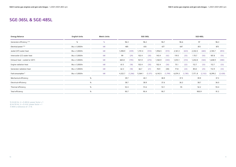# **SGE-36SL & SGE-48SL**

| <b>English Units</b> | <b>Metric Units</b><br>SGE-36SL |                              |         |                                     |          |                                             |         |                                             |         |                                   |         |                                                        |         |
|----------------------|---------------------------------|------------------------------|---------|-------------------------------------|----------|---------------------------------------------|---------|---------------------------------------------|---------|-----------------------------------|---------|--------------------------------------------------------|---------|
| $\%$                 | $\%$                            | 96.3                         |         |                                     |          |                                             |         |                                             |         |                                   |         | 96.3                                                   |         |
| Btu x 1,000/hr       | kW                              |                              |         |                                     |          |                                             |         |                                             |         |                                   |         | 873                                                    |         |
| Btu x 1,000/hr       | kW                              | 1,498.9                      | (439)   | 1,741.4                             | (510)    | 1,956.5                                     | (573)   | 2,161.3                                     | (633)   | 2,332.0                           | (683)   | 2,765.7                                                | (810)   |
| Btu x 1,000/hr       | kW                              | 99                           | (29)    | 102.4                               | (30)     | 143.4                                       | (42)    | 119.5                                       | (35)    | 170.7                             | (50)    | 187.8                                                  | (55)    |
| Btu x 1,000/hr       | kW                              | 665.8                        | (195)   | 921.9                               | (270)    | 1,160.9                                     | (340)   | 1,072.1                                     | (314)   | 1,242.8                           | (364)   | 1,638.9                                                | (480)   |
| Btu x 1,000/hr       | kW                              | 61.5                         | (18)    | 102.4                               | (30)     | 102.4                                       | (30)    | 75.1                                        | (22)    | 112.7                             | (33)    | 112.7                                                  | (33)    |
| Btu x 1,000/hr       | kW                              | 62.3                         | (18)    | 66.7                                | (21)     | 78.9                                        | (30)    | 77.8                                        | (23)    | 85.8                              | (25)    | 112.9                                                  | (33)    |
| Btu x 1,000/hr       | kW                              | 4,322.7                      | (1,266) | 5,364.1                             | (1, 571) | 6,142.5                                     | (1,799) | 6,074.3                                     | (1,785) | 7,1778                            | (2,102) | 8,299.2                                                | (2,428) |
|                      |                                 |                              |         |                                     |          |                                             |         |                                             |         |                                   |         | 37.3                                                   |         |
|                      |                                 |                              |         |                                     |          |                                             |         |                                             |         |                                   |         | 36.0                                                   |         |
|                      |                                 |                              |         |                                     |          |                                             |         |                                             |         |                                   |         | 55.4                                                   |         |
|                      |                                 |                              |         |                                     |          |                                             |         |                                             |         |                                   |         | 91.3                                                   |         |
|                      |                                 | $\%$<br>$\%$<br>$\%$<br>$\%$ |         | 485<br>39.7<br>38.7<br>52.4<br>90.7 |          | 96.2<br>610<br>40.1<br>38.9<br>51.6<br>90.4 |         | 96.7<br>677<br>38.9<br>37.6<br>53.1<br>90.7 |         | 96.6<br>647<br>37.5<br>36.3<br>55 |         | SGE-48SL<br>97<br>813<br>39.9<br>38.7<br>52.2<br>900.9 |         |

5) At 60 Hz,  $U = 0.48$  kV, power factor = 1 6) At 50 Hz,  $U = 0.4$  kV, power factor = 1 7) With a tolerance of  $+5%$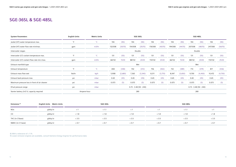| <b>System Parameters</b>                      | <b>English Units</b> | <b>Metric Units</b> | SGE-36SL                |         |         |         |         |         |         |         |         | SGE-48SL                |         |         |
|-----------------------------------------------|----------------------|---------------------|-------------------------|---------|---------|---------|---------|---------|---------|---------|---------|-------------------------|---------|---------|
| Jacket (HT) water temperature max.            | $^{\circ}$ F         | $^{\circ}C$         | 194                     | (90)    | 194     | (90)    | 194     | (90)    | 194     | (90)    | 194     | (90)                    | 194     | (90)    |
| Jacket (HT) water flow rate min/max.          | gpm                  | m3/hr               | 132/308                 | (30/70) | 154/308 | (35/70) | 176/308 | (40/70) | 194/308 | (44/70) | 207/308 | (48/70)                 | 247/308 | (56/70) |
| Intercooler stages                            |                      |                     |                         |         |         | Double  |         |         |         |         |         | Double                  |         |         |
| Intercooler (LT) coolant temperature max.     | $^{\circ}$ F         | $^{\circ}$ C        | 131                     | (55)    | 131     | (55)    | 131     | (55)    | 131     | (55)    | 131     | (55)                    | 131     | (55)    |
| Intercooler (LT) coolant flow rate min./max.  | gpm                  | m3/hr               | 66/132                  | 15/30   | 88/132  | 20/30   | 110/132 | 25/30   | 66/132  | 15/30   | 88/132  | 20/30                   | 110/132 | 25/30   |
| Exhaust manifold type                         |                      |                     | Wet                     |         |         |         |         |         |         |         |         | Wet                     |         |         |
| Exhaust temperature                           | $^{\circ}$ F         | $^{\circ}$ C        | 658                     | (348)   | 702     | (372)   | 756     | (402)   | 732     | (389)   | 714     | (379)                   | 817     | (436)   |
| Exhaust mass flow wet                         | lbs/hr               | kg/h                | 5,908                   | (2,680) | 7,363   | (3,340) | 8,311   | (3,770) | 8,047   | (3,650) | 9,700   | (4,400)                 | 10,472  | (4,750) |
| Exhaust back-pressure max.                    | psi                  | mbar                | 0.65                    | (45)    | 0.65    | (45)    | 0.65    | (45)    | 0.65    | (45)    | 0.65    | (45)                    | 0.65    | (45)    |
| Maximum pressure loss in front of air cleaner | psi                  | mbar                | 0.073                   | (5)     | 0.073   | (5)     | 0.073   | (5)     | 0.073   | (5)     | 0.073   | (5)                     | 0.073   | (5)     |
| EFuel pressure range                          | psi                  | mbar                | $0.73 - 3.48(50 - 240)$ |         |         |         |         |         |         |         |         | $0.73 - 3.48(50 - 240)$ |         |         |
| Starter battery 2x12 V, capacity required     | Ampere-hour          |                     | 280                     |         |         |         |         |         |         |         |         | 280                     |         |         |

| Emissions <sup>8)</sup> | English Units Metric Units |          | SGE-36SL |          |          | SGE-48SL |          |
|-------------------------|----------------------------|----------|----------|----------|----------|----------|----------|
| <b>NOx</b>              | g/bhp.hr                   | $\leq$ 1 | < 1.1    | $\leq$ 1 | $\leq$ 1 | < 1.1    | $\leq$ 1 |
| CO                      | g/bhp.hr                   | < 1.8    | < 1.8    | < 1.8    | < 1.8    | < 1.8    | < 1.8    |
| THC (in C1base)         | g/bhp.hr                   | < 3.5    | < 3.5    | $<$ 3.5  | < 3.5    | < 3.5    | < 3.5    |
| NMHC (in C1 base)       | g/bhp.hr<br>______         | < 0.7    | < 0.7    | < 0.7    | < 0.7    | < 0.7    | < 0.7    |

8) With a tolerance of + 5 %

## **SGE-36SL & SGE-48SL**

9) Lower emission engines are available, consult Siemens Energy Engines for performance data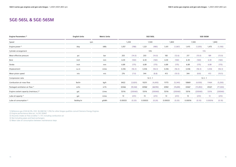### **SGE-56SL & SGE-56SM**

| Engine Parameters <sup>2)</sup>                   | <b>English Units</b> | <b>Metric Units</b> |         |          |         | SGE-56SL |         |           |         | SGE-56SM  |         |          |
|---------------------------------------------------|----------------------|---------------------|---------|----------|---------|----------|---------|-----------|---------|-----------|---------|----------|
| Speed                                             | rpm                  |                     |         | 1,200    |         | 1,500    |         | 1,800     |         | 1,500     |         | 1,800    |
| Engine power <sup>2)</sup>                        | bhp                  | kWb                 | 1,057   | (788)    | 1,321   | (985)    | 1,431   | (1,067)   | 1,415   | (1,055)   | 1,475   | (1,100)  |
| Cylinder arrangement                              |                      |                     |         |          |         | V16      |         |           |         | V16       |         |          |
| Mean effective pressure                           | psi                  | bar                 | 203     | (14.0)   | 203     | (14.0)   | 183     | (12.6)    | 217     | (15.0)    | 189     | (13.0)   |
| Bore                                              | inch                 | mm                  | 6.30    | (160)    | 6.30    | (160)    | 6.30    | (160)     | 6.30    | (160)     | 6.30    | (160)    |
| Stroke                                            | inch                 | mm                  | 6.89    | (175)    | 6.89    | (175)    | 6.89    | (175)     | 6.89    | (175)     | 6.89    | (175)    |
| Displacement                                      | cu.in                | Litres              | 3,436   | (56.3)   | 3,436   | (56.3)   | 3,436   | (56.3)    | 3,436   | (56.3)    | 3,436   | (56.3)   |
| Mean piston speed                                 | in/s                 | m/s                 | 276     | (7.0)    | 344     | (8.8)    | 413     | (10.5)    | 344     | (8.8)     | 413     | (10.5)   |
| Compression ratio                                 |                      |                     |         |          |         | 12.3:1   |         |           |         | 12.3:1    |         |          |
| Combustion air mass flow                          | lbs/hr               | kg/h                | 8422    | (3,820)  | 10251   | (4,650)  | 11773   | (5,340)   | 10869   | (4,930)   | 11464   | (5,200)  |
| Packaged ventilation air flow <sup>2)</sup>       | scfm                 | $m^3/h$             | 32466   | (55,160) | 40582   | (68,950) | 43961   | (74, 690) | 43467   | (73, 850) | 45321   | (77,000) |
| Engine coolant capacity (main/aux.) <sup>3)</sup> | gal.                 | Litres              | 53/16   | (200/60) | 53/16   | (200/60) | 53/16   | (200/60)  | 53/16   | (200/60)  | 53/16   | (200/60) |
| Lube oil capacity <sup>3)</sup>                   | gal.                 | Litres              | 72      | (272)    | 72      | (272)    | 72      | (272)     | 72      | (272)     | 72      | (272)    |
| Lube oil consumption <sup>4)</sup>                | lbs/bhp.hr           | g/kWh               | 0.00033 | (0.20)   | 0.00033 | (0.20)   | 0.00033 | (0.20)    | 0.00016 | (0.10)    | 0.00016 | (0.10)   |
|                                                   |                      |                     |         |          |         |          |         |           |         |           |         |          |

1) Reference gas (CH4 62,5%, CO2: 36 AND N2: 1,5%) for other biogas qualities consult Siemens Energy Engines

2) Engine performance data acc. to ISO 3046/1

3) Assumes intake air flow at delta  $T = 5^{\circ}$ C including combustion air

4) Not Including pipes and heat exchangers

5) Mean lube oil consumption between maintenance steps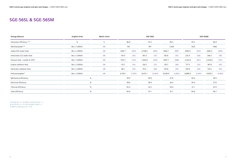## **SGE-56SL & SGE-56SM**

| <b>Energy Balance</b>                 | <b>English Units</b> | <b>Metric Units</b> |         |          |         | SGE-56SL |         |         |         | SGE-56SM |         |         |
|---------------------------------------|----------------------|---------------------|---------|----------|---------|----------|---------|---------|---------|----------|---------|---------|
| Generator efficiency <sup>5) 6)</sup> | $\frac{0}{0}$        | $\frac{0}{0}$       |         | 96.8     |         | 97.2     |         | 96.3    |         | 97.2     |         | 96.9    |
| Electrical power <sup>5) 6)</sup>     | Btu x 1,000/hr       | kW                  |         | 763      |         | 957      |         | 1,028   |         | 1025     |         | 1066    |
| Jacket (HT) water heat                | Btu x 1,000/hr       | kW                  | 2287.7  | (670)    | 2,748.6 | (805)    | 3062.7  | (897)   | 2093.0  | (613)    | 2284.2  | (669)   |
| Intercooler (LT) water heat           | Btu x 1,000/hr       | kW                  | 143.4   | (42)     | 181.0   | (53)     | 187.8   | (55)    | 225.4   | (66)     | 266.3   | (78)    |
| Exhaust heat - cooled to 120°C        | Btu x 1,000/hr       | kW                  | 1072.1  | (314)    | 1,464.8 | (429)    | 2007.7  | (588)   | 2,222.8 | (651)    | 2,550.6 | (747)   |
| Engine radiation heat                 | Btu x 1,000/hr       | kW                  | 112.7   | (33)     | 126.3   | (37)     | 129.7   | (38)    | 177.5   | (52)     | 187.8   | (55)    |
| Generator radiation heat              | Btu x 1,000/hr       | kW                  | 86.1    | (25)     | 94.2    | (28)     | 134.8   | (39)    | 100.9   | (30)     | 116.4   | (34)    |
| Fuel consumption <sup>7)</sup>        | Btu x 1,000/hr       | kW                  | 6,740.1 | (1, 974) | 8,413.1 | (2, 464) | 9,638.9 | (2,823) | 8,880.9 | (2,601)  | 9,635.5 | (2,822) |
| Mechanical efficiency                 | $\%$                 |                     |         | 39.9     |         | 40.0     |         | 37.8    |         | 40.6     |         | 39.0    |
| Electrical efficiency                 | $\%$                 |                     |         | 38.6     |         | 38.9     |         | 36.4    |         | 39.4     |         | 37.8    |
| Thermal efficiency                    | $\%$                 |                     |         | 52.0     |         | 52.2     |         | 54.6    |         | 51.1     |         | 52.9    |
| Total efficiency                      | $\%$                 |                     |         | 90.6     |         | 91.1     |         | 91.1    |         | 90.6     |         | 90.7    |
|                                       |                      |                     |         |          |         |          |         |         |         |          |         |         |

5) At 60 Hz,  $U = 0.48$  kV, power factor = 1 6) At 50 Hz,  $U = 0.4$  kV, power factor = 1 7) With a tolerance of  $+5%$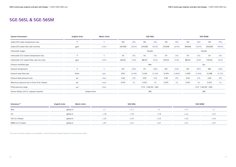| <b>System Parameters</b>                      | <b>English Units</b> | <b>Metric Units</b> |                         |         |         | SGE-56SL |         |         |         |         | SGE-56SM                |         |
|-----------------------------------------------|----------------------|---------------------|-------------------------|---------|---------|----------|---------|---------|---------|---------|-------------------------|---------|
| Jacket (HT) water temperature max.            | $\circ$ F            | $^{\circ}C$         | 194                     | (90)    | 194     | (90)     | 194     | (90)    | 194     | (90)    | 194                     | (90)    |
| Jacket (HT) water flow rate min/max.          | gpm                  | m3/hr               | 207/308                 | (46/70) | 247/308 | (56/70)  | 273/308 | (62/70) | 189/308 | (43/70) | 203/308                 | (46/70) |
| Intercooler stages                            |                      |                     |                         |         |         | Double   |         |         |         |         | Double                  |         |
| Intercooler (LT) coolant temperature max.     | $\circ$ F            | $\rm ^{\circ}C$     | 131                     | (55)    | 131     | (55)     | 131     | (55)    | 131     | (55)    | 131                     | (55)    |
| Intercooler (LT) coolant flow rate min./max.  | gpm                  | m3/hr               | 66/132                  | 15/30   | 88/132  | 20/30    | 110/132 | 25/30   | 88/132  | 25/30   | 110/132                 | 25/30   |
| Exhaust manifold type                         |                      |                     | Wet                     |         |         |          |         |         |         | Dry     |                         |         |
| Exhaust temperature                           | $\circ$ F            | $\rm ^{\circ}C$     | 671                     | (355)   | 721     | (383)    | 813     | (434)   | 927     | (497)   | 984                     | (529)   |
| Exhaust mass flow wet                         | lbs/hr               | kg/h                | 9215                    | (4,180) | 11,244  | (5,100)  | 12,919  | (5,860) | 11,905  | (5,400) | 12,588                  | (5,710) |
| Exhaust back-pressure max.                    | psi                  | mbar                | 0.65                    | (45)    | 0.65    | (45)     | 0.65    | (45)    | 0.65    | (45)    | 0.65                    | (45)    |
| Maximum pressure loss in front of air cleaner | psi                  | mbar                | 0.073                   | (5)     | 0.073   | (5)      | 0.073   | (5)     | 0.073   | (5)     | 0.073                   | (5)     |
| EFuel pressure range                          | psi                  | mbar                | $0.73 - 3.48(50 - 240)$ |         |         |          |         |         |         |         | $0.73 - 3.48(50 - 240)$ |         |
| Starter battery 2x12 V, capacity required     |                      | Ampere-hour         |                         |         |         | 280      |         |         |         | 280     |                         |         |

| Emissions <sup>8)</sup> | <b>English Units</b><br><b>Metric Units</b> |          | SGE-56SL |          |       | SGE-56SM |
|-------------------------|---------------------------------------------|----------|----------|----------|-------|----------|
| <b>NOx</b>              | g/bhp.hr                                    | $\leq$ 1 | < 1.1    | $\leq$ 1 | < 1.1 | $\leq$ 1 |
| CO                      | g/bhp.hr                                    | < 1.8    | < 1.8    | < 1.8    | < 2.2 | < 2.2    |
| THC (in C1base)         | g/bhp.hr                                    | < 3.5    | < 3.5    | < 3.5    | < 3.5 | < 3.5    |
| NMHC (in C1 base)       | g/bhp.hr                                    | < 0.7    | < 0.7    | < 0.7    | < 0.7 | < 0.7    |

# **SGE-56SL & SGE-56SM**

9) Lower emission engines are available, consult Siemens Energy Engines for performance data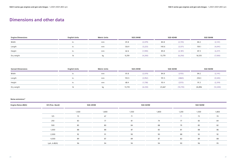| <b>Engine Dimensions</b> | <b>English Units</b> | <b>Metric Units</b> | SGE-24HM |          | SGE-42HM |          | SGE-56HM |          |
|--------------------------|----------------------|---------------------|----------|----------|----------|----------|----------|----------|
| Width                    |                      | mm                  | 81.8     | (2,079)  | 84.8     | (2, 155) | 84.2     | (2, 141) |
| Length                   |                      | mm                  | 126.9    | (3,223)  | 140.6    | (3, 571) | 159.1    | (4,041)  |
| Height                   |                      | mm                  | 62.6     | (1, 590) | 85.8     | (2, 181) | 87.3     | (2,217)  |
| Dry weight               |                      |                     | 9,259    | (4,200)  | 13,779   | (6,250)  | 16,535   | (7,500)  |

# **Dimensions and other data**

| <b>Genset Dimensions</b> | <b>English Units</b> | <b>Metric Units</b> | SGE-24HM |         | SGE-42HM |           | SGE-56HM |           |
|--------------------------|----------------------|---------------------|----------|---------|----------|-----------|----------|-----------|
| Width                    | In.                  | mm                  | 81.8     | (2,079) | 84.8     | (2155)    | 84.2     | (2, 141)  |
| Length                   | In.                  | mm                  | 155.5    | (3,952) | 191.5    | (4865)    | 218.3    | (5,545)   |
| Height                   | ın.                  | mm                  | 68.4     | (1,738) | 93.4     | (2373)    | 91.3     | (2,319)   |
| Dry weight               |                      |                     | 13,735   | (6.230) | 23,667   | (10, 735) | 26,896   | (12, 200) |

### **Noise emissions\***

| Engine Noise dB(A) | HZ (Frec. Band) | SGE-24HM |       | SGE-42HM | SGE-56HM |       |       |       |
|--------------------|-----------------|----------|-------|----------|----------|-------|-------|-------|
|                    |                 | 1,500    | 1,800 | 1,500    | 1,800    | 1,200 | 1,500 | 1,800 |
|                    | 125             | 73       | 67    | 71       | $\sim$   | 71    | 73    | 70    |
|                    | 250             | 83       | 77    | 81       | 74       | 77    | 83    | 84    |
|                    | 500             | 85       | 80    | 84       | 88       | 79    | 85    | 82    |
|                    | 1,000           | 88       | 88    | 87       | 83       | 81    | 88    | 86    |
|                    | 2,000           | 92       | 91    | 90       | 90       | 88    | 92    | 92    |
|                    | 4,000           | 89       | 87    | 89       | 87       | 83    | 89    | 88    |
|                    | LpA, å dB(A)    | 96       | 94    | 94       | 94       | 90    | 96    | 95    |
|                    |                 |          |       |          |          |       |       |       |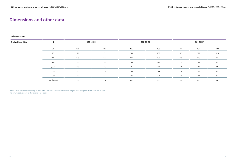### **Noise emissions\***

**Notes:** Data obtained according to ISO 9614-2 • Data obtained @ 1 m from engine according to UNE-EN ISO-11203:1996 Maximum data standard deviations =  $\pm$  4 dB(A)

| <b>Engine Noise dB(A)</b> | HZ           | SGE-24HM |     | SGE-42HM | SGE-56HM |     |     |     |
|---------------------------|--------------|----------|-----|----------|----------|-----|-----|-----|
|                           | 63           | 100      | 102 | 105      | 106      | 99  | 102 | 103 |
|                           | 125          | 121      | 131 | 119      | 109      | 109 | 122 | 125 |
|                           | 250          | 129      | 133 | 129      | 133      | 115 | 128 | 136 |
|                           | 500          | 116      | 122 | 116      | 123      | 116 | 122 | 127 |
|                           | 1,000        | 116      | 119 | 115      | 117      | 114 | 119 | 121 |
|                           | 2,000        | 115      | 117 | 113      | 114      | 114 | 117 | 117 |
|                           | 4,000        | 112      | 110 | 111      | 111      | 116 | 112 | 113 |
|                           | LpA, å dB(A) | 130      | 136 | 130      | 135      | 122 | 130 | 137 |

### **Dimensions and other data**